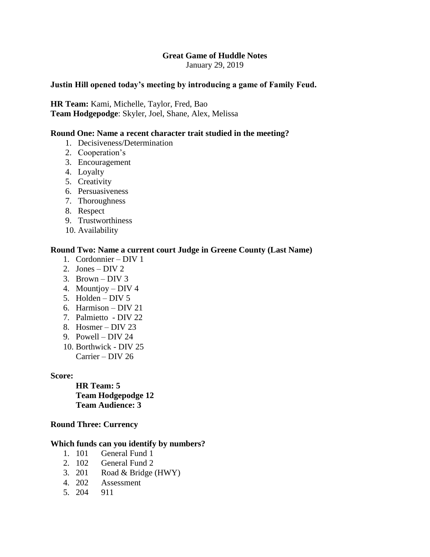## **Great Game of Huddle Notes**

January 29, 2019

## **Justin Hill opened today's meeting by introducing a game of Family Feud.**

**HR Team:** Kami, Michelle, Taylor, Fred, Bao **Team Hodgepodge**: Skyler, Joel, Shane, Alex, Melissa

# **Round One: Name a recent character trait studied in the meeting?**

- 1. Decisiveness/Determination
- 2. Cooperation's
- 3. Encouragement
- 4. Loyalty
- 5. Creativity
- 6. Persuasiveness
- 7. Thoroughness
- 8. Respect
- 9. Trustworthiness
- 10. Availability

## **Round Two: Name a current court Judge in Greene County (Last Name)**

- 1. Cordonnier DIV 1
- 2. Jones DIV 2
- 3. Brown DIV 3
- 4. Mountjoy DIV 4
- 5. Holden DIV 5
- 6. Harmison DIV 21
- 7. Palmietto DIV 22
- 8. Hosmer DIV 23
- 9. Powell DIV 24
- 10. Borthwick DIV 25 Carrier – DIV 26

### **Score:**

**HR Team: 5 Team Hodgepodge 12 Team Audience: 3**

#### **Round Three: Currency**

#### **Which funds can you identify by numbers?**

- 1. 101 General Fund 1
- 2. 102 General Fund 2
- 3. 201 Road & Bridge (HWY)
- 4. 202 Assessment
- 5. 204 911